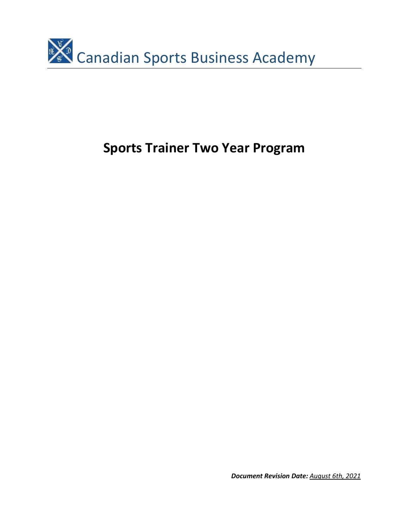

# **Sports Trainer Two Year Program**

*Document Revision Date: August 6th, 2021*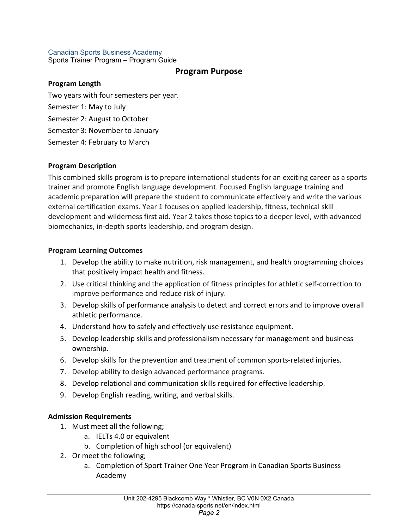### Canadian Sports Business Academy Sports Trainer Program – Program Guide

# **Program Purpose**

## **Program Length**

Two years with four semesters per year.

Semester 1: May to July

Semester 2: August to October

Semester 3: November to January

Semester 4: February to March

## **Program Description**

This combined skills program is to prepare international students for an exciting career as a sports trainer and promote English language development. Focused English language training and academic preparation will prepare the student to communicate effectively and write the various external certification exams. Year 1 focuses on applied leadership, fitness, technical skill development and wilderness first aid. Year 2 takes those topics to a deeper level, with advanced biomechanics, in-depth sports leadership, and program design.

# **Program Learning Outcomes**

- 1. Develop the ability to make nutrition, risk management, and health programming choices that positively impact health and fitness.
- 2. Use critical thinking and the application of fitness principles for athletic self-correction to improve performance and reduce risk of injury.
- 3. Develop skills of performance analysis to detect and correct errors and to improve overall athletic performance.
- 4. Understand how to safely and effectively use resistance equipment.
- 5. Develop leadership skills and professionalism necessary for management and business ownership.
- 6. Develop skills for the prevention and treatment of common sports-related injuries.
- 7. Develop ability to design advanced performance programs.
- 8. Develop relational and communication skills required for effective leadership.
- 9. Develop English reading, writing, and verbal skills.

# **Admission Requirements**

- 1. Must meet all the following;
	- a. IELTs 4.0 or equivalent
	- b. Completion of high school (or equivalent)
- 2. Or meet the following;
	- a. Completion of Sport Trainer One Year Program in Canadian Sports Business Academy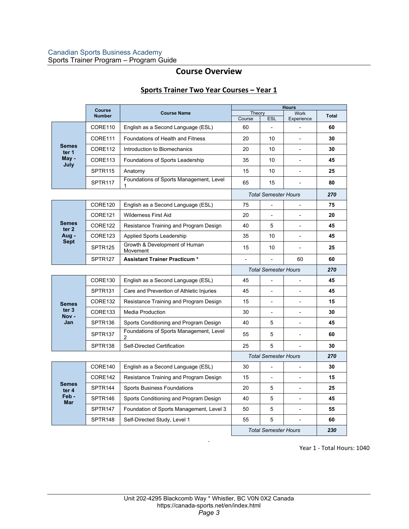# **Course Overview**

## **Sports Trainer Two Year Courses – Year 1**

|                                                          | Course              |                                              | <b>Hours</b>                |                 |                           |              |
|----------------------------------------------------------|---------------------|----------------------------------------------|-----------------------------|-----------------|---------------------------|--------------|
|                                                          | <b>Number</b>       | <b>Course Name</b>                           | Theory<br>Course            | <b>ESL</b>      | <b>Work</b><br>Experience | <b>Total</b> |
| <b>Semes</b><br>ter 1<br>May -<br>July                   | CORE110             | English as a Second Language (ESL)           | 60                          |                 |                           | 60           |
|                                                          | CORE111             | <b>Foundations of Health and Fitness</b>     | 20                          | 10 <sup>1</sup> |                           | 30           |
|                                                          | CORE112             | Introduction to Biomechanics                 | 20                          | 10 <sup>1</sup> | $\overline{\phantom{a}}$  | 30           |
|                                                          | CORE113             | Foundations of Sports Leadership             | 35                          | 10 <sup>1</sup> | $\overline{a}$            | 45           |
|                                                          | SPTR <sub>115</sub> | Anatomy                                      | 15                          | 10              | $\overline{a}$            | 25           |
|                                                          | SPTR <sub>117</sub> | Foundations of Sports Management, Level      | 65                          | 15              |                           | 80           |
|                                                          |                     |                                              | <b>Total Semester Hours</b> |                 |                           | 270          |
| <b>Semes</b><br>ter <sub>2</sub><br>Aug -<br><b>Sept</b> | CORE120             | English as a Second Language (ESL)           | 75                          |                 |                           | 75           |
|                                                          | CORE <sub>121</sub> | <b>Wilderness First Aid</b>                  | 20                          |                 |                           | 20           |
|                                                          | CORE122             | Resistance Training and Program Design       | 40                          | 5               | $\overline{a}$            | 45           |
|                                                          | CORE123             | Applied Sports Leadership                    | 35                          | 10              |                           | 45           |
|                                                          | SPTR <sub>125</sub> | Growth & Development of Human<br>Movement    | 15                          | 10              | $\blacksquare$            | 25           |
|                                                          | SPTR <sub>127</sub> | <b>Assistant Trainer Practicum *</b>         |                             |                 | 60                        | 60           |
|                                                          |                     |                                              | <b>Total Semester Hours</b> |                 |                           | 270          |
| <b>Semes</b><br>ter <sub>3</sub><br>Nov-<br>Jan          | CORE130             | English as a Second Language (ESL)           | 45                          |                 |                           | 45           |
|                                                          | SPTR <sub>131</sub> | Care and Prevention of Athletic Injuries     | 45                          |                 | L,                        | 45           |
|                                                          | CORE132             | Resistance Training and Program Design       | 15                          |                 |                           | 15           |
|                                                          | CORE133             | Media Production                             | 30                          |                 |                           | 30           |
|                                                          | SPTR <sub>136</sub> | Sports Conditioning and Program Design       | 40                          | 5               | $\overline{\phantom{0}}$  | 45           |
|                                                          | SPTR <sub>137</sub> | Foundations of Sports Management, Level<br>2 | 55                          | 5               |                           | 60           |
|                                                          | SPTR <sub>138</sub> | Self-Directed Certification                  | 25                          | 5               | $\overline{a}$            | 30           |
|                                                          |                     |                                              | <b>Total Semester Hours</b> |                 |                           | 270          |
|                                                          | CORE140             | English as a Second Language (ESL)           | 30                          |                 |                           | 30           |
| <b>Semes</b><br>ter 4<br>Feb-<br>Mar                     | CORE142             | Resistance Training and Program Design       | 15                          |                 |                           | 15           |
|                                                          | SPTR <sub>144</sub> | <b>Sports Business Foundations</b>           | 20                          | 5               | L,                        | 25           |
|                                                          | SPTR <sub>146</sub> | Sports Conditioning and Program Design       | 40                          | 5               | $\blacksquare$            | 45           |
|                                                          | SPTR <sub>147</sub> | Foundation of Sports Management, Level 3     | 50                          | 5               |                           | 55           |
|                                                          | SPTR <sub>148</sub> | Self-Directed Study, Level 1                 | 55                          | 5               |                           | 60           |
|                                                          |                     |                                              | <b>Total Semester Hours</b> |                 |                           | 230          |

Year 1 - Total Hours: 1040

.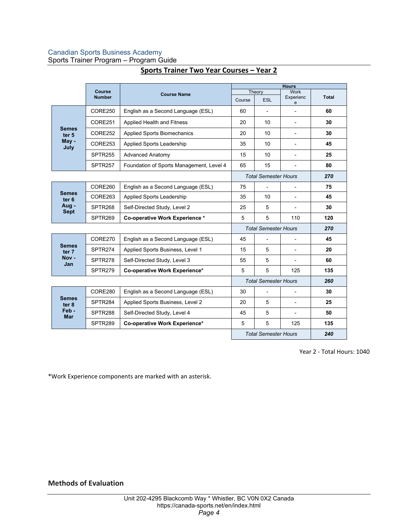## Canadian Sports Business Academy

Sports Trainer Program – Program Guide

|                                                   | Course<br><b>Number</b> | <b>Course Name</b>                       | <b>Hours</b>                |                |                          |              |  |
|---------------------------------------------------|-------------------------|------------------------------------------|-----------------------------|----------------|--------------------------|--------------|--|
|                                                   |                         |                                          | Theory                      |                | <b>Work</b><br>Experienc | <b>Total</b> |  |
|                                                   |                         |                                          | Course                      | ESL            | e                        |              |  |
| <b>Semes</b><br>ter <sub>5</sub><br>May -<br>July | CORE250                 | English as a Second Language (ESL)       | 60                          |                |                          | 60           |  |
|                                                   | CORE251                 | Applied Health and Fitness               | 20                          | 10             |                          | 30           |  |
|                                                   | CORE252                 | <b>Applied Sports Biomechanics</b>       | 20                          | 10             |                          | 30           |  |
|                                                   | CORE253                 | Applied Sports Leadership                | 35                          | 10             |                          | 45           |  |
|                                                   | SPTR <sub>255</sub>     | <b>Advanced Anatomy</b>                  | 15                          | 10             |                          | 25           |  |
|                                                   | SPTR <sub>257</sub>     | Foundation of Sports Management, Level 4 | 65                          | 15             | $\overline{\phantom{0}}$ | 80           |  |
|                                                   |                         |                                          | <b>Total Semester Hours</b> | 270            |                          |              |  |
| Semes<br>ter <sub>6</sub><br>Aug -<br><b>Sept</b> | CORE260                 | English as a Second Language (ESL)       | 75                          | $\blacksquare$ |                          | 75           |  |
|                                                   | CORE263                 | Applied Sports Leadership                | 35                          | 10             |                          | 45           |  |
|                                                   | SPTR268                 | Self-Directed Study, Level 2             | 25                          | 5              |                          | 30           |  |
|                                                   | SPTR <sub>269</sub>     | Co-operative Work Experience *           | 5                           | 5              | 110                      | 120          |  |
|                                                   |                         |                                          | <b>Total Semester Hours</b> | 270            |                          |              |  |
| Semes<br>ter 7<br>Nov -<br>Jan                    | CORE270                 | English as a Second Language (ESL)       | 45                          |                |                          | 45           |  |
|                                                   | SPTR274                 | Applied Sports Business, Level 1         | 15                          | 5              |                          | 20           |  |
|                                                   | SPTR278                 | Self-Directed Study, Level 3             | 55                          | 5              |                          | 60           |  |
|                                                   | SPTR279                 | Co-operative Work Experience*            | 5                           | 5              | 125                      | 135          |  |
|                                                   |                         |                                          | <b>Total Semester Hours</b> |                |                          | 260          |  |
| <b>Semes</b><br>ter 8<br>Feb-<br><b>Mar</b>       | CORE280                 | English as a Second Language (ESL)       | 30                          | $\blacksquare$ |                          | 30           |  |
|                                                   | SPTR284                 | Applied Sports Business, Level 2         | 20                          | 5              |                          | 25           |  |
|                                                   | SPTR288                 | Self-Directed Study, Level 4             | 45                          | 5              |                          | 50           |  |
|                                                   | SPTR289                 | Co-operative Work Experience*            | 5                           | 5              | 125                      | 135          |  |
|                                                   |                         |                                          | <b>Total Semester Hours</b> | 240            |                          |              |  |

## **Sports Trainer Two Year Courses – Year 2**

Year 2 - Total Hours: 1040

\*Work Experience components are marked with an asterisk.

**Methods of Evaluation**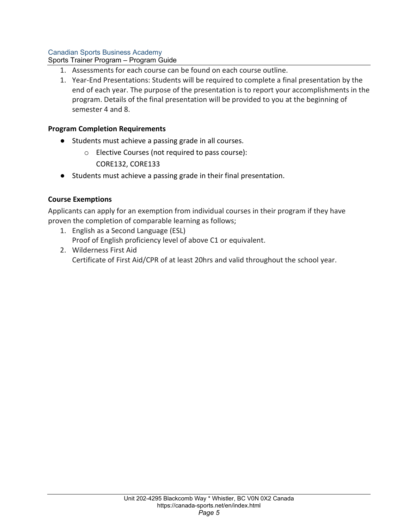## Canadian Sports Business Academy

Sports Trainer Program – Program Guide

- 1. Assessments for each course can be found on each course outline.
- 1. Year-End Presentations: Students will be required to complete a final presentation by the end of each year. The purpose of the presentation is to report your accomplishments in the program. Details of the final presentation will be provided to you at the beginning of semester 4 and 8.

## **Program Completion Requirements**

- Students must achieve a passing grade in all courses.
	- o Elective Courses (not required to pass course):
		- CORE132, CORE133
- Students must achieve a passing grade in their final presentation.

## **Course Exemptions**

Applicants can apply for an exemption from individual courses in their program if they have proven the completion of comparable learning as follows;

- 1. English as a Second Language (ESL) Proof of English proficiency level of above C1 or equivalent.
- 2. Wilderness First Aid Certificate of First Aid/CPR of at least 20hrs and valid throughout the school year.